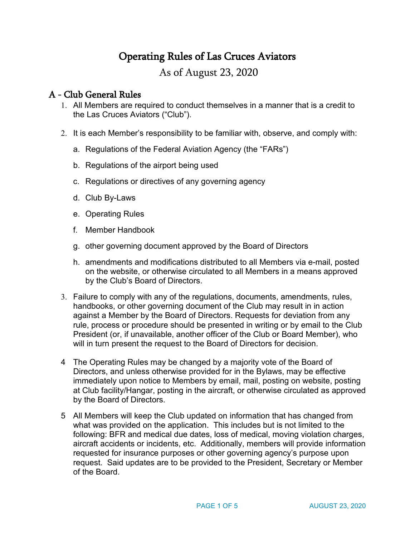# Operating Rules of Las Cruces Aviators

As of August 23, 2020

# A - Club General Rules

- 1. All Members are required to conduct themselves in a manner that is a credit to the Las Cruces Aviators ("Club").
- 2. It is each Member's responsibility to be familiar with, observe, and comply with:
	- a. Regulations of the Federal Aviation Agency (the "FARs")
	- b. Regulations of the airport being used
	- c. Regulations or directives of any governing agency
	- d. Club By-Laws
	- e. Operating Rules
	- f. Member Handbook
	- g. other governing document approved by the Board of Directors
	- h. amendments and modifications distributed to all Members via e-mail, posted on the website, or otherwise circulated to all Members in a means approved by the Club's Board of Directors.
- 3. Failure to comply with any of the regulations, documents, amendments, rules, handbooks, or other governing document of the Club may result in in action against a Member by the Board of Directors. Requests for deviation from any rule, process or procedure should be presented in writing or by email to the Club President (or, if unavailable, another officer of the Club or Board Member), who will in turn present the request to the Board of Directors for decision.
- 4 The Operating Rules may be changed by a majority vote of the Board of Directors, and unless otherwise provided for in the Bylaws, may be effective immediately upon notice to Members by email, mail, posting on website, posting at Club facility/Hangar, posting in the aircraft, or otherwise circulated as approved by the Board of Directors.
- 5 All Members will keep the Club updated on information that has changed from what was provided on the application. This includes but is not limited to the following: BFR and medical due dates, loss of medical, moving violation charges, aircraft accidents or incidents, etc. Additionally, members will provide information requested for insurance purposes or other governing agency's purpose upon request. Said updates are to be provided to the President, Secretary or Member of the Board.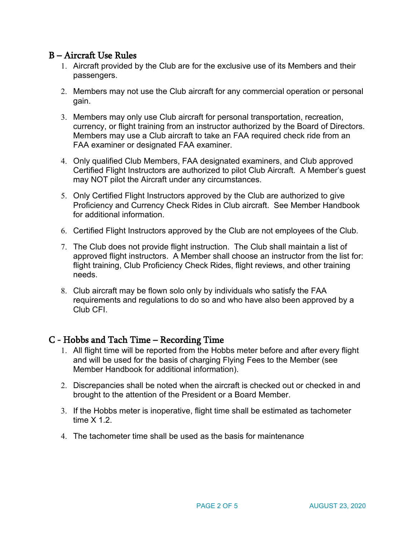# B – Aircraft Use Rules

- 1. Aircraft provided by the Club are for the exclusive use of its Members and their passengers.
- 2. Members may not use the Club aircraft for any commercial operation or personal gain.
- 3. Members may only use Club aircraft for personal transportation, recreation, currency, or flight training from an instructor authorized by the Board of Directors. Members may use a Club aircraft to take an FAA required check ride from an FAA examiner or designated FAA examiner.
- 4. Only qualified Club Members, FAA designated examiners, and Club approved Certified Flight Instructors are authorized to pilot Club Aircraft. A Member's guest may NOT pilot the Aircraft under any circumstances.
- 5. Only Certified Flight Instructors approved by the Club are authorized to give Proficiency and Currency Check Rides in Club aircraft. See Member Handbook for additional information.
- 6. Certified Flight Instructors approved by the Club are not employees of the Club.
- 7. The Club does not provide flight instruction. The Club shall maintain a list of approved flight instructors. A Member shall choose an instructor from the list for: flight training, Club Proficiency Check Rides, flight reviews, and other training needs.
- 8. Club aircraft may be flown solo only by individuals who satisfy the FAA requirements and regulations to do so and who have also been approved by a Club CFI.

### C - Hobbs and Tach Time – Recording Time

- 1. All flight time will be reported from the Hobbs meter before and after every flight and will be used for the basis of charging Flying Fees to the Member (see Member Handbook for additional information).
- 2. Discrepancies shall be noted when the aircraft is checked out or checked in and brought to the attention of the President or a Board Member.
- 3. If the Hobbs meter is inoperative, flight time shall be estimated as tachometer time  $X$  1.2
- 4. The tachometer time shall be used as the basis for maintenance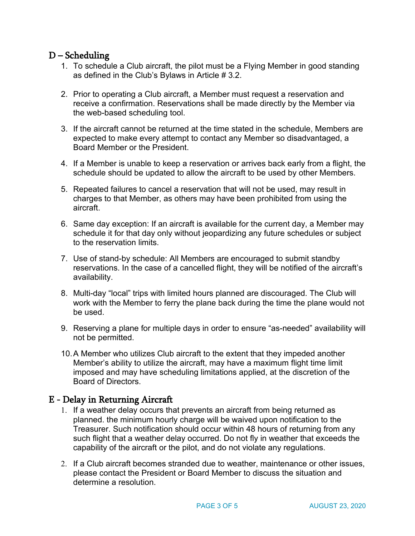# D – Scheduling

- 1. To schedule a Club aircraft, the pilot must be a Flying Member in good standing as defined in the Club's Bylaws in Article # 3.2.
- 2. Prior to operating a Club aircraft, a Member must request a reservation and receive a confirmation. Reservations shall be made directly by the Member via the web-based scheduling tool.
- 3. If the aircraft cannot be returned at the time stated in the schedule, Members are expected to make every attempt to contact any Member so disadvantaged, a Board Member or the President.
- 4. If a Member is unable to keep a reservation or arrives back early from a flight, the schedule should be updated to allow the aircraft to be used by other Members.
- 5. Repeated failures to cancel a reservation that will not be used, may result in charges to that Member, as others may have been prohibited from using the aircraft.
- 6. Same day exception: If an aircraft is available for the current day, a Member may schedule it for that day only without jeopardizing any future schedules or subject to the reservation limits.
- 7. Use of stand-by schedule: All Members are encouraged to submit standby reservations. In the case of a cancelled flight, they will be notified of the aircraft's availability.
- 8. Multi-day "local" trips with limited hours planned are discouraged. The Club will work with the Member to ferry the plane back during the time the plane would not be used.
- 9. Reserving a plane for multiple days in order to ensure "as-needed" availability will not be permitted.
- 10.A Member who utilizes Club aircraft to the extent that they impeded another Member's ability to utilize the aircraft, may have a maximum flight time limit imposed and may have scheduling limitations applied, at the discretion of the Board of Directors.

# E - Delay in Returning Aircraft

- 1. If a weather delay occurs that prevents an aircraft from being returned as planned. the minimum hourly charge will be waived upon notification to the Treasurer. Such notification should occur within 48 hours of returning from any such flight that a weather delay occurred. Do not fly in weather that exceeds the capability of the aircraft or the pilot, and do not violate any regulations.
- 2. If a Club aircraft becomes stranded due to weather, maintenance or other issues, please contact the President or Board Member to discuss the situation and determine a resolution.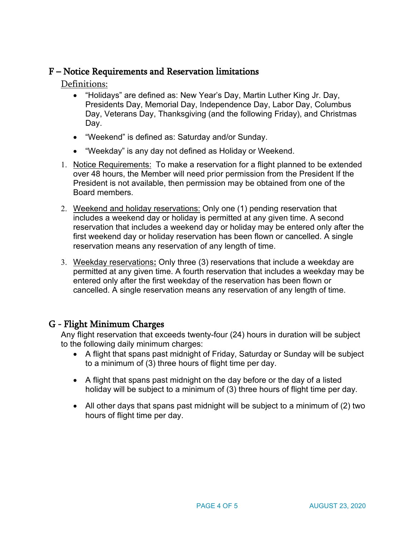# F – Notice Requirements and Reservation limitations

Definitions:

- "Holidays" are defined as: New Year's Day, Martin Luther King Jr. Day, Presidents Day, Memorial Day, Independence Day, Labor Day, Columbus Day, Veterans Day, Thanksgiving (and the following Friday), and Christmas Day.
- "Weekend" is defined as: Saturday and/or Sunday.
- "Weekday" is any day not defined as Holiday or Weekend.
- 1. Notice Requirements: To make a reservation for a flight planned to be extended over 48 hours, the Member will need prior permission from the President If the President is not available, then permission may be obtained from one of the Board members.
- 2. Weekend and holiday reservations: Only one (1) pending reservation that includes a weekend day or holiday is permitted at any given time. A second reservation that includes a weekend day or holiday may be entered only after the first weekend day or holiday reservation has been flown or cancelled. A single reservation means any reservation of any length of time.
- 3. Weekday reservations**:** Only three (3) reservations that include a weekday are permitted at any given time. A fourth reservation that includes a weekday may be entered only after the first weekday of the reservation has been flown or cancelled. A single reservation means any reservation of any length of time.

# G - Flight Minimum Charges

Any flight reservation that exceeds twenty-four (24) hours in duration will be subject to the following daily minimum charges:

- A flight that spans past midnight of Friday, Saturday or Sunday will be subject to a minimum of (3) three hours of flight time per day.
- A flight that spans past midnight on the day before or the day of a listed holiday will be subject to a minimum of (3) three hours of flight time per day.
- All other days that spans past midnight will be subject to a minimum of (2) two hours of flight time per day.